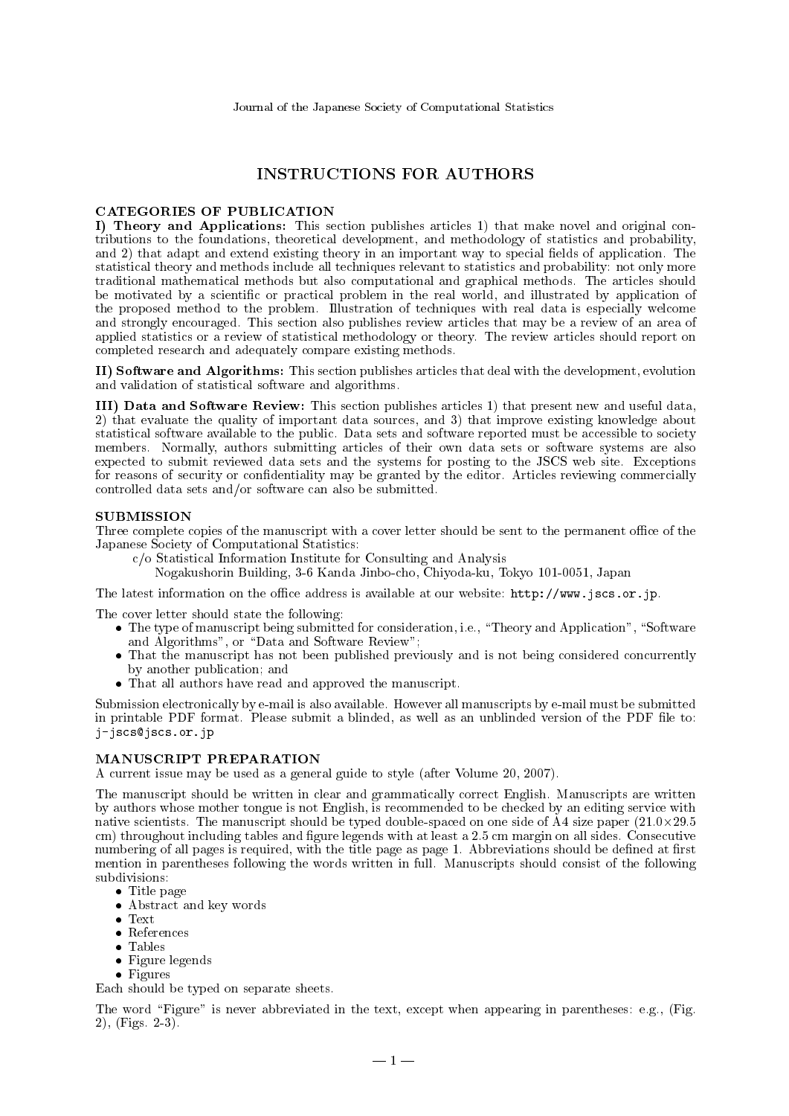# **INSTRUCTIONS FOR AUTHORS**

# **CATEGORIES OF PUBLICATION**

I) Theory and Applications: This section publishes articles 1) that make novel and original contributions to the foundations, theoretical development, and methodology of statistics and probability, and 2) that adapt and extend existing theory in an important way to special fields of application. The statistical theory and methods include all techniques relevant to statistics and probability: not only more traditional mathematical methods but also computational and graphical methods. The articles should be motivated by a scientific or practical problem in the real world, and illustrated by application of the proposed method to the problem. Illustration of techniques with real data is especially welcome and strongly encouraged. This section also publishes review articles that may be a review of an area of applied statistics or a review of statistical methodology or theory. The review articles should report on completed research and adequately compare existing methods.

II) Software and Algorithms: This section publishes articles that deal with the development, evolution and validation of statistical software and algorithms.

III) Data and Software Review: This section publishes articles 1) that present new and useful data. 2) that evaluate the quality of important data sources, and 3) that improve existing knowledge about statistical software available to the public. Data sets and software reported must be accessible to society members. Normally, authors submitting articles of their own data sets or software systems are also expected to submit reviewed data sets and the systems for posting to the JSCS web site. Exceptions for reasons of security or confidentiality may be granted by the editor. Articles reviewing commercially controlled data sets and/or software can also be submitted.

## **SUBMISSION**

Three complete copies of the manuscript with a cover letter should be sent to the permanent office of the Japanese Society of Computational Statistics:

 $c/o$  Statistical Information Institute for Consulting and Analysis

Nogakushorin Building, 3-6 Kanda Jinbo-cho, Chiyoda-ku, Tokyo 101-0051, Japan

The latest information on the office address is available at our website: http://www.jscs.or.jp.

The cover letter should state the following:

- The type of manuscript being submitted for consideration, i.e., "Theory and Application", "Software and Algorithms", or "Data and Software Review";
- That the manuscript has not been published previously and is not being considered concurrently by another publication; and
- That all authors have read and approved the manuscript.

Submission electronically by e-mail is also available. However all manuscripts by e-mail must be submitted in printable PDF format. Please submit a blinded, as well as an unblinded version of the PDF file to: j-jscs@jscs.or.jp

## MANUSCRIPT PREPARATION

A current issue may be used as a general guide to style (after Volume 20, 2007).

The manuscript should be written in clear and grammatically correct English. Manuscripts are written by authors whose mother tongue is not English, is recommended to be checked by an editing service with native scientists. The manuscript should be typed double-spaced on one side of  $\AA$ 4 size paper (21.0×29.5) cm) throughout including tables and figure legends with at least a 2.5 cm margin on all sides. Consecutive numbering of all pages is required, with the title page as page 1. Abbreviations should be defined at first mention in parentheses following the words written in full. Manuscripts should consist of the following subdivisions:

- Title page
- Abstract and key words
- $\bullet~$  Text
- References
- $\bullet$  Tables
- Figure legends
- $\bullet$  Figures

Each should be typed on separate sheets.

The word "Figure" is never abbreviated in the text, except when appearing in parentheses: e.g., (Fig. 2),  $(Figs 2-3)$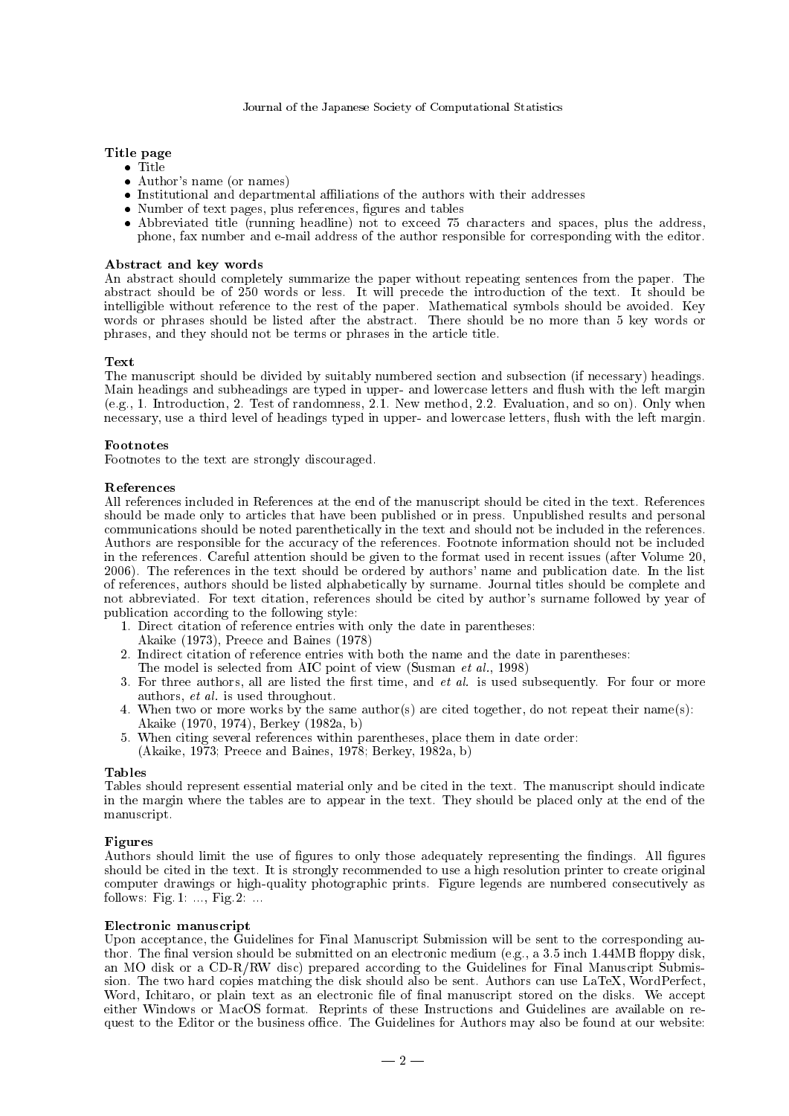# Title page

- $\bullet$  Title
- Author's name (or names)
- Institutional and departmental affiliations of the authors with their addresses
- Number of text pages, plus references, figures and tables
- Abbreviated title (running headline) not to exceed 75 characters and spaces, plus the address, phone, fax number and e-mail address of the author responsible for corresponding with the editor.

# Abstract and key words

An abstract should completely summarize the paper without repeating sentences from the paper. The abstract should be of 250 words or less. It will precede the introduction of the text. It should be intelligible without reference to the rest of the paper. Mathematical symbols should be avoided. Key words or phrases should be listed after the abstract. There should be no more than 5 key words or phrases, and they should not be terms or phrases in the article title.

#### Text

The manuscript should be divided by suitably numbered section and subsection (if necessary) headings. Main headings and subheadings are typed in upper- and lowercase letters and flush with the left margin (e.g., 1. Introduction, 2. Test of randomness, 2.1. New method, 2.2. Evaluation, and so on). Only when necessary, use a third level of headings typed in upper- and lowercase letters, flush with the left margin.

# **Footnotes**

Footnotes to the text are strongly discouraged.

#### References

All references included in References at the end of the manuscript should be cited in the text. References should be made only to articles that have been published or in press. Unpublished results and personal communications should be noted parenthetically in the text and should not be included in the references. Authors are responsible for the accuracy of the references. Footnote information should not be included in the references. Careful attention should be given to the format used in recent issues (after Volume 20, 2006). The references in the text should be ordered by authors' name and publication date. In the list of references, authors should be listed alphabetically by surname. Journal titles should be complete and not abbreviated. For text citation, references should be cited by author's surname followed by year of publication according to the following style:

- 1. Direct citation of reference entries with only the date in parentheses:
- Akaike (1973), Preece and Baines (1978)
- 2. Indirect citation of reference entries with both the name and the date in parentheses:
- The model is selected from AIC point of view (Susman et al., 1998)
- 3. For three authors, all are listed the first time, and et al. is used subsequently. For four or more authors, et al. is used throughout.
- 4. When two or more works by the same author(s) are cited together, do not repeat their name(s): Akaike (1970, 1974), Berkey (1982a, b)
- 5. When citing several references within parentheses, place them in date order:
- (Akaike, 1973; Preece and Baines, 1978; Berkey, 1982a, b)

#### Tables

Tables should represent essential material only and be cited in the text. The manuscript should indicate in the margin where the tables are to appear in the text. They should be placed only at the end of the manuscript.

# Figures

Authors should limit the use of figures to only those adequately representing the findings. All figures should be cited in the text. It is strongly recommended to use a high resolution printer to create original computer drawings or high-quality photographic prints. Figure legends are numbered consecutively as follows: Fig. 1: ..., Fig. 2: ...

#### Electronic manuscript

Upon acceptance, the Guidelines for Final Manuscript Submission will be sent to the corresponding author. The final version should be submitted on an electronic medium (e.g., a 3.5 inch 1.44MB floppy disk, an MO disk or a CD-R/RW disc) prepared according to the Guidelines for Final Manuscript Submission. The two hard copies matching the disk should also be sent. Authors can use LaTeX, WordPerfect, Word, Ichitaro, or plain text as an electronic file of final manuscript stored on the disks. We accept either Windows or MacOS format. Reprints of these Instructions and Guidelines are available on request to the Editor or the business office. The Guidelines for Authors may also be found at our website: